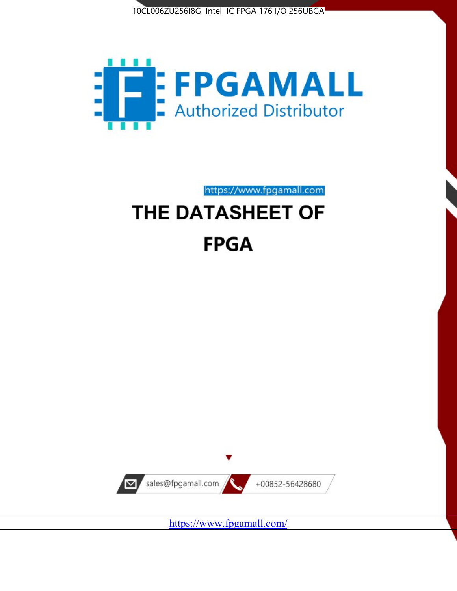



https://www.fpgamall.com

# THE DATASHEET OF **FPGA**



https://www.fpgamall.com/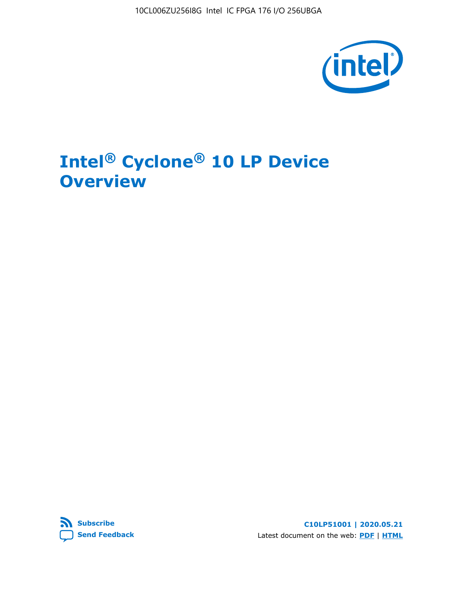10CL006ZU256I8G Intel IC FPGA 176 I/O 256UBGA



# **Intel® Cyclone® 10 LP Device Overview**



**C10LP51001 | 2020.05.21** Latest document on the web: **[PDF](https://www.intel.com/content/dam/www/programmable/us/en/pdfs/literature/hb/cyclone-10/c10lp-51001.pdf)** | **[HTML](https://www.intel.com/content/www/us/en/programmable/documentation/hci1490246873896.html)**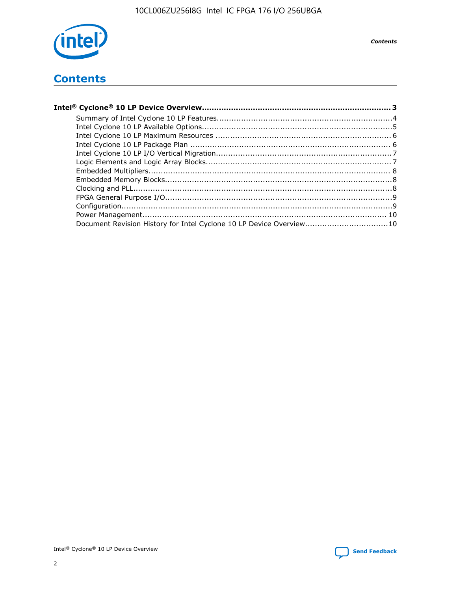

**Contents** 

## **Contents**

| Document Revision History for Intel Cyclone 10 LP Device Overview10 |  |
|---------------------------------------------------------------------|--|

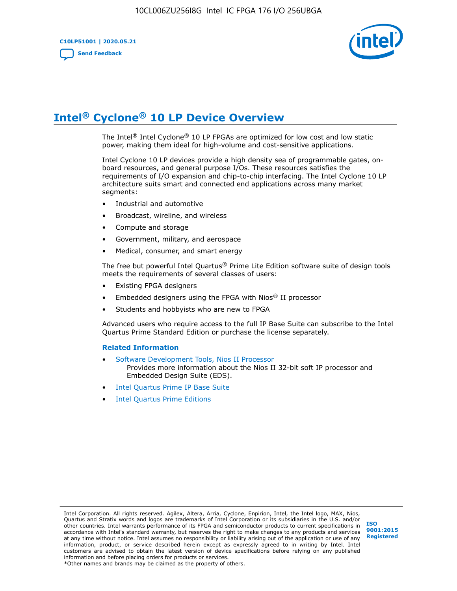

# **Intel® Cyclone® 10 LP Device Overview**

The Intel® Intel Cyclone® 10 LP FPGAs are optimized for low cost and low static power, making them ideal for high-volume and cost-sensitive applications.

Intel Cyclone 10 LP devices provide a high density sea of programmable gates, onboard resources, and general purpose I/Os. These resources satisfies the requirements of I/O expansion and chip-to-chip interfacing. The Intel Cyclone 10 LP architecture suits smart and connected end applications across many market segments:

- Industrial and automotive
- Broadcast, wireline, and wireless
- Compute and storage
- Government, military, and aerospace
- Medical, consumer, and smart energy

The free but powerful Intel Quartus® Prime Lite Edition software suite of design tools meets the requirements of several classes of users:

- Existing FPGA designers
- Embedded designers using the FPGA with Nios® II processor
- Students and hobbyists who are new to FPGA

Advanced users who require access to the full IP Base Suite can subscribe to the Intel Quartus Prime Standard Edition or purchase the license separately.

#### **Related Information**

- [Software Development Tools, Nios II Processor](https://www.altera.com/products/processors/design-tools.html) Provides more information about the Nios II 32-bit soft IP processor and Embedded Design Suite (EDS).
- [Intel Quartus Prime IP Base Suite](https://www.altera.com/products/intellectual-property/design/ip-base-suite.html)
- **[Intel Quartus Prime Editions](https://www.altera.com/products/design-software/fpga-design/quartus-prime/download.html)**

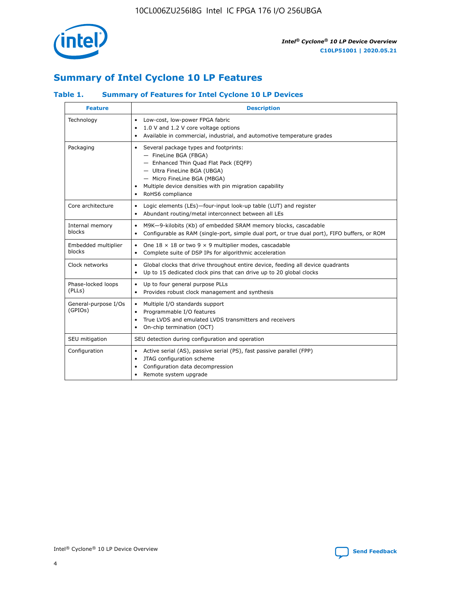

## **Summary of Intel Cyclone 10 LP Features**

## **Table 1. Summary of Features for Intel Cyclone 10 LP Devices**

| <b>Feature</b>                  | <b>Description</b>                                                                                                                                                                                                                                        |
|---------------------------------|-----------------------------------------------------------------------------------------------------------------------------------------------------------------------------------------------------------------------------------------------------------|
| Technology                      | Low-cost, low-power FPGA fabric<br>$\bullet$<br>1.0 V and 1.2 V core voltage options<br>Available in commercial, industrial, and automotive temperature grades                                                                                            |
| Packaging                       | Several package types and footprints:<br>٠<br>- FineLine BGA (FBGA)<br>- Enhanced Thin Quad Flat Pack (EQFP)<br>- Ultra FineLine BGA (UBGA)<br>- Micro FineLine BGA (MBGA)<br>Multiple device densities with pin migration capability<br>RoHS6 compliance |
| Core architecture               | Logic elements (LEs)-four-input look-up table (LUT) and register<br>$\bullet$<br>Abundant routing/metal interconnect between all LEs<br>٠                                                                                                                 |
| Internal memory<br>blocks       | M9K-9-kilobits (Kb) of embedded SRAM memory blocks, cascadable<br>$\bullet$<br>Configurable as RAM (single-port, simple dual port, or true dual port), FIFO buffers, or ROM<br>٠                                                                          |
| Embedded multiplier<br>blocks   | One $18 \times 18$ or two 9 $\times$ 9 multiplier modes, cascadable<br>$\bullet$<br>Complete suite of DSP IPs for algorithmic acceleration<br>$\bullet$                                                                                                   |
| Clock networks                  | Global clocks that drive throughout entire device, feeding all device quadrants<br>٠<br>Up to 15 dedicated clock pins that can drive up to 20 global clocks                                                                                               |
| Phase-locked loops<br>(PLLs)    | Up to four general purpose PLLs<br>٠<br>Provides robust clock management and synthesis<br>$\bullet$                                                                                                                                                       |
| General-purpose I/Os<br>(GPIOs) | Multiple I/O standards support<br>$\bullet$<br>Programmable I/O features<br>$\bullet$<br>True LVDS and emulated LVDS transmitters and receivers<br>٠<br>On-chip termination (OCT)                                                                         |
| SEU mitigation                  | SEU detection during configuration and operation                                                                                                                                                                                                          |
| Configuration                   | Active serial (AS), passive serial (PS), fast passive parallel (FPP)<br>$\bullet$<br>JTAG configuration scheme<br>٠<br>Configuration data decompression<br>Remote system upgrade<br>٠                                                                     |

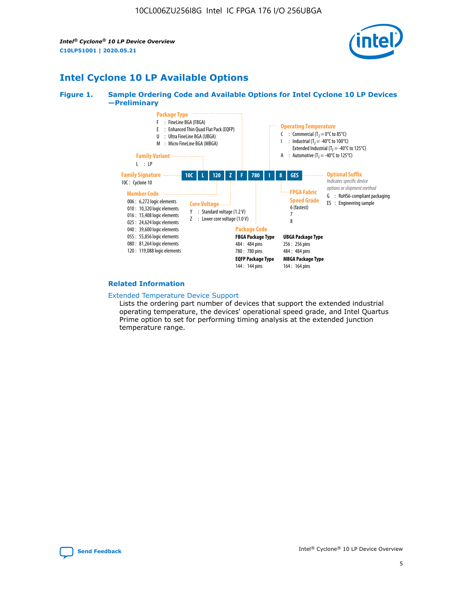*Intel® Cyclone® 10 LP Device Overview* **C10LP51001 | 2020.05.21**



## **Intel Cyclone 10 LP Available Options**

#### **Figure 1. Sample Ordering Code and Available Options for Intel Cyclone 10 LP Devices —Preliminary**



#### **Related Information**

#### [Extended Temperature Device Support](https://www.intel.com/content/www/us/en/products/programmable/temperature.html)

Lists the ordering part number of devices that support the extended industrial operating temperature, the devices' operational speed grade, and Intel Quartus Prime option to set for performing timing analysis at the extended junction temperature range.

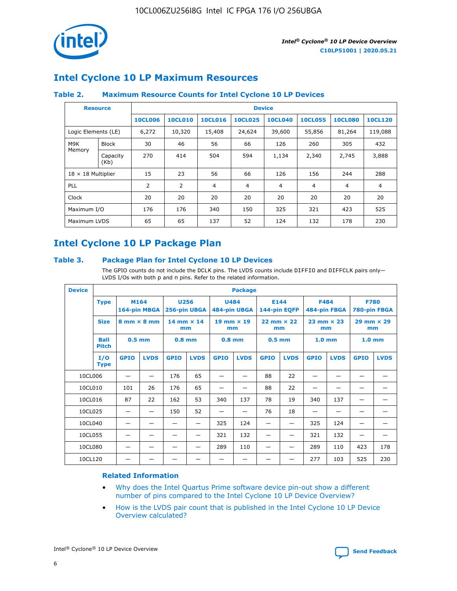

## **Intel Cyclone 10 LP Maximum Resources**

### **Table 2. Maximum Resource Counts for Intel Cyclone 10 LP Devices**

|                           | <b>Resource</b>  | <b>Device</b>  |                |                |                |                |                |                |                |
|---------------------------|------------------|----------------|----------------|----------------|----------------|----------------|----------------|----------------|----------------|
|                           |                  | <b>10CL006</b> | <b>10CL010</b> | <b>10CL016</b> | <b>10CL025</b> | <b>10CL040</b> | <b>10CL055</b> | <b>10CL080</b> | <b>10CL120</b> |
| Logic Elements (LE)       |                  | 6,272          | 10,320         | 15,408         | 24,624         | 39,600         | 55,856         | 81,264         | 119,088        |
| M9K                       | <b>Block</b>     | 30             | 46             | 56             | 66             | 126            | 260            | 305            | 432            |
| Memory                    | Capacity<br>(Kb) | 270            | 414            | 504            | 594            | 1,134          | 2,340          | 2,745          | 3,888          |
| $18 \times 18$ Multiplier |                  | 15             | 23             | 56             | 66             | 126            | 156            | 244            | 288            |
| <b>PLL</b>                |                  | 2              | 2              | 4              | 4              | $\overline{4}$ | 4              | $\overline{4}$ | 4              |
| Clock                     |                  | 20             | 20             | 20             | 20             | 20             | 20             | 20             | 20             |
| Maximum I/O               |                  | 176            | 176            | 340            | 150            | 325            | 321            | 423            | 525            |
| Maximum LVDS              |                  | 65             | 65             | 137            | 52             | 124            | 132            | 178            | 230            |

## **Intel Cyclone 10 LP Package Plan**

#### **Table 3. Package Plan for Intel Cyclone 10 LP Devices**

The GPIO counts do not include the DCLK pins. The LVDS counts include DIFFIO and DIFFCLK pairs only-LVDS I/Os with both p and n pins. Refer to the related information.

| <b>Device</b> | <b>Package</b>              |                                    |                      |                           |             |                             |             |                           |             |                           |              |                             |             |
|---------------|-----------------------------|------------------------------------|----------------------|---------------------------|-------------|-----------------------------|-------------|---------------------------|-------------|---------------------------|--------------|-----------------------------|-------------|
|               | <b>Type</b>                 |                                    | M164<br>164-pin MBGA | 256-pin UBGA              | <b>U256</b> | <b>U484</b><br>484-pin UBGA |             | E144<br>144-pin EQFP      |             | <b>F484</b>               | 484-pin FBGA | <b>F780</b><br>780-pin FBGA |             |
|               | <b>Size</b>                 | $8 \text{ mm} \times 8 \text{ mm}$ |                      | $14$ mm $\times$ 14<br>mm |             | $19$ mm $\times$ 19<br>mm   |             | $22$ mm $\times$ 22<br>mm |             | $23$ mm $\times$ 23<br>mm |              | $29$ mm $\times$ 29<br>mm   |             |
|               | <b>Ball</b><br><b>Pitch</b> | $0.5$ mm                           |                      | $0.8$ mm                  |             | $0.8$ mm                    |             | $0.5$ mm                  |             | 1.0 <sub>mm</sub>         |              | $1.0 \text{ mm}$            |             |
|               | I/O<br><b>Type</b>          | <b>GPIO</b>                        | <b>LVDS</b>          | <b>GPIO</b>               | <b>LVDS</b> | <b>GPIO</b>                 | <b>LVDS</b> | <b>GPIO</b>               | <b>LVDS</b> | <b>GPIO</b>               | <b>LVDS</b>  | <b>GPIO</b>                 | <b>LVDS</b> |
| 10CL006       |                             |                                    |                      | 176                       | 65          |                             |             | 88                        | 22          |                           |              |                             |             |
| 10CL010       |                             | 101                                | 26                   | 176                       | 65          |                             |             | 88                        | 22          |                           |              |                             |             |
| 10CL016       |                             | 87                                 | 22                   | 162                       | 53          | 340                         | 137         | 78                        | 19          | 340                       | 137          |                             |             |
| 10CL025       |                             |                                    | —                    | 150                       | 52          | —                           |             | 76                        | 18          |                           |              |                             |             |
| 10CL040       |                             |                                    |                      |                           |             | 325                         | 124         | -                         |             | 325                       | 124          |                             |             |
| 10CL055       |                             |                                    |                      |                           |             | 321                         | 132         |                           |             | 321                       | 132          |                             |             |
| 10CL080       |                             |                                    |                      |                           |             | 289                         | 110         |                           |             | 289                       | 110          | 423                         | 178         |
| 10CL120       |                             |                                    |                      |                           |             |                             |             |                           |             | 277                       | 103          | 525                         | 230         |

### **Related Information**

- [Why does the Intel Quartus Prime software device pin-out show a different](https://www.intel.com/content/altera-www/global/en_us/index/support/support-resources/knowledge-base/component/2020/why-does-intel--quartus--device-pinout-pin-count-shows-a-differe0.html) [number of pins compared to the Intel Cyclone 10 LP Device Overview?](https://www.intel.com/content/altera-www/global/en_us/index/support/support-resources/knowledge-base/component/2020/why-does-intel--quartus--device-pinout-pin-count-shows-a-differe0.html)
- [How is the LVDS pair count that is published in the Intel Cyclone 10 LP Device](https://www.intel.com/content/altera-www/global/en_us/index/support/support-resources/knowledge-base/component/2020/how-is-the-lvds-pair-count-in-intel--cyclone--10-device-overview.html) [Overview calculated?](https://www.intel.com/content/altera-www/global/en_us/index/support/support-resources/knowledge-base/component/2020/how-is-the-lvds-pair-count-in-intel--cyclone--10-device-overview.html)



Intel<sup>®</sup> Cyclone<sup>®</sup> 10 LP Device Overview **[Send Feedback](mailto:FPGAtechdocfeedback@intel.com?subject=Feedback%20on%20Intel%20Cyclone%2010%20LP%20Device%20Overview%20(C10LP51001%202020.05.21)&body=We%20appreciate%20your%20feedback.%20In%20your%20comments,%20also%20specify%20the%20page%20number%20or%20paragraph.%20Thank%20you.)** Send Feedback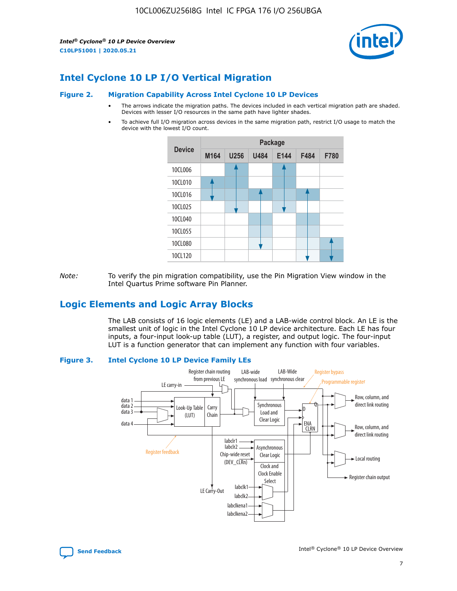*Intel® Cyclone® 10 LP Device Overview* **C10LP51001 | 2020.05.21**



## **Intel Cyclone 10 LP I/O Vertical Migration**

#### **Figure 2. Migration Capability Across Intel Cyclone 10 LP Devices**

- The arrows indicate the migration paths. The devices included in each vertical migration path are shaded. Devices with lesser I/O resources in the same path have lighter shades.
- To achieve full I/O migration across devices in the same migration path, restrict I/O usage to match the device with the lowest I/O count.



*Note:* To verify the pin migration compatibility, use the Pin Migration View window in the Intel Quartus Prime software Pin Planner.

## **Logic Elements and Logic Array Blocks**

The LAB consists of 16 logic elements (LE) and a LAB-wide control block. An LE is the smallest unit of logic in the Intel Cyclone 10 LP device architecture. Each LE has four inputs, a four-input look-up table (LUT), a register, and output logic. The four-input LUT is a function generator that can implement any function with four variables.

#### **Figure 3. Intel Cyclone 10 LP Device Family LEs**



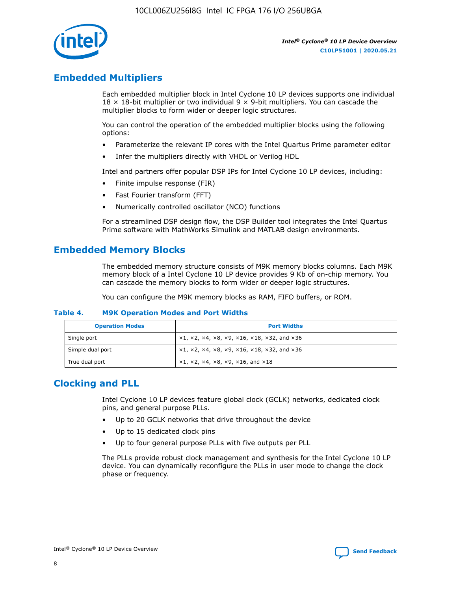

## **Embedded Multipliers**

Each embedded multiplier block in Intel Cyclone 10 LP devices supports one individual  $18 \times 18$ -bit multiplier or two individual 9  $\times$  9-bit multipliers. You can cascade the multiplier blocks to form wider or deeper logic structures.

You can control the operation of the embedded multiplier blocks using the following options:

- Parameterize the relevant IP cores with the Intel Quartus Prime parameter editor
- Infer the multipliers directly with VHDL or Verilog HDL

Intel and partners offer popular DSP IPs for Intel Cyclone 10 LP devices, including:

- Finite impulse response (FIR)
- Fast Fourier transform (FFT)
- Numerically controlled oscillator (NCO) functions

For a streamlined DSP design flow, the DSP Builder tool integrates the Intel Quartus Prime software with MathWorks Simulink and MATLAB design environments.

## **Embedded Memory Blocks**

The embedded memory structure consists of M9K memory blocks columns. Each M9K memory block of a Intel Cyclone 10 LP device provides 9 Kb of on-chip memory. You can cascade the memory blocks to form wider or deeper logic structures.

You can configure the M9K memory blocks as RAM, FIFO buffers, or ROM.

#### **Table 4. M9K Operation Modes and Port Widths**

| <b>Operation Modes</b> | <b>Port Widths</b>                           |
|------------------------|----------------------------------------------|
| Single port            | $x1, x2, x4, x8, x9, x16, x18, x32, and x36$ |
| Simple dual port       | $x1, x2, x4, x8, x9, x16, x18, x32, and x36$ |
| True dual port         | x1, x2, x4, x8, x9, x16, and x18             |

## **Clocking and PLL**

Intel Cyclone 10 LP devices feature global clock (GCLK) networks, dedicated clock pins, and general purpose PLLs.

- Up to 20 GCLK networks that drive throughout the device
- Up to 15 dedicated clock pins
- Up to four general purpose PLLs with five outputs per PLL

The PLLs provide robust clock management and synthesis for the Intel Cyclone 10 LP device. You can dynamically reconfigure the PLLs in user mode to change the clock phase or frequency.

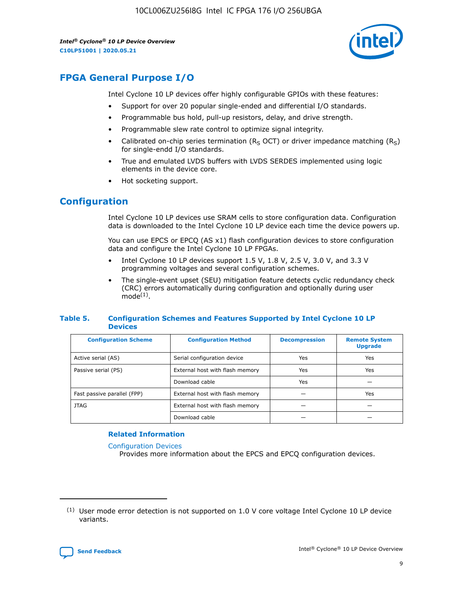10CL006ZU256I8G Intel IC FPGA 176 I/O 256UBGA

*Intel® Cyclone® 10 LP Device Overview* **C10LP51001 | 2020.05.21**



## **FPGA General Purpose I/O**

Intel Cyclone 10 LP devices offer highly configurable GPIOs with these features:

- Support for over 20 popular single-ended and differential I/O standards.
- Programmable bus hold, pull-up resistors, delay, and drive strength.
- Programmable slew rate control to optimize signal integrity.
- Calibrated on-chip series termination ( $R<sub>S</sub>$  OCT) or driver impedance matching ( $R<sub>S</sub>$ ) for single-endd I/O standards.
- True and emulated LVDS buffers with LVDS SERDES implemented using logic elements in the device core.
- Hot socketing support.

## **Configuration**

Intel Cyclone 10 LP devices use SRAM cells to store configuration data. Configuration data is downloaded to the Intel Cyclone 10 LP device each time the device powers up.

You can use EPCS or EPCQ (AS x1) flash configuration devices to store configuration data and configure the Intel Cyclone 10 LP FPGAs.

- Intel Cyclone 10 LP devices support 1.5 V, 1.8 V, 2.5 V, 3.0 V, and 3.3 V programming voltages and several configuration schemes.
- The single-event upset (SEU) mitigation feature detects cyclic redundancy check (CRC) errors automatically during configuration and optionally during user  $mode<sup>(1)</sup>$ .

#### **Table 5. Configuration Schemes and Features Supported by Intel Cyclone 10 LP Devices**

| <b>Configuration Scheme</b> | <b>Configuration Method</b>     | <b>Decompression</b> | <b>Remote System</b><br><b>Upgrade</b> |  |
|-----------------------------|---------------------------------|----------------------|----------------------------------------|--|
| Active serial (AS)          | Serial configuration device     | Yes                  | Yes                                    |  |
| Passive serial (PS)         | External host with flash memory | Yes                  | Yes                                    |  |
|                             | Download cable                  | Yes                  |                                        |  |
| Fast passive parallel (FPP) | External host with flash memory |                      | Yes                                    |  |
| JTAG                        | External host with flash memory |                      |                                        |  |
|                             | Download cable                  |                      |                                        |  |

#### **Related Information**

[Configuration Devices](https://www.altera.com/products/configuration-devices/overview.html)

Provides more information about the EPCS and EPCQ configuration devices.

 $(1)$  User mode error detection is not supported on 1.0 V core voltage Intel Cyclone 10 LP device variants.

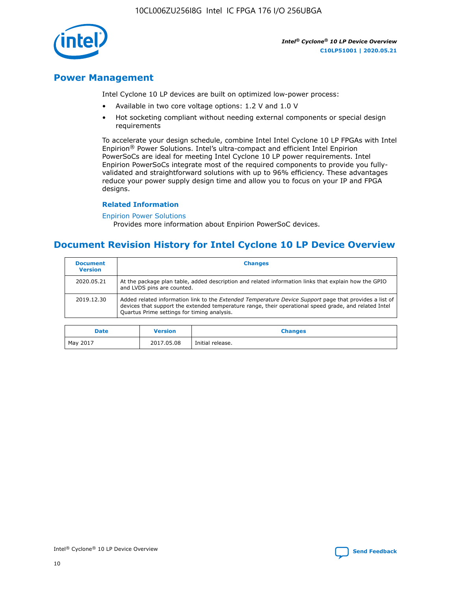10CL006ZU256I8G Intel IC FPGA 176 I/O 256UBGA



*Intel® Cyclone® 10 LP Device Overview* **C10LP51001 | 2020.05.21**

## **Power Management**

Intel Cyclone 10 LP devices are built on optimized low-power process:

- Available in two core voltage options: 1.2 V and 1.0 V
- Hot socketing compliant without needing external components or special design requirements

To accelerate your design schedule, combine Intel Intel Cyclone 10 LP FPGAs with Intel Enpirion® Power Solutions. Intel's ultra-compact and efficient Intel Enpirion PowerSoCs are ideal for meeting Intel Cyclone 10 LP power requirements. Intel Enpirion PowerSoCs integrate most of the required components to provide you fullyvalidated and straightforward solutions with up to 96% efficiency. These advantages reduce your power supply design time and allow you to focus on your IP and FPGA designs.

#### **Related Information**

#### [Enpirion Power Solutions](https://www.altera.com/products/power/devices.html)

Provides more information about Enpirion PowerSoC devices.

## **Document Revision History for Intel Cyclone 10 LP Device Overview**

| <b>Document</b><br><b>Version</b> | <b>Changes</b>                                                                                                                                                                                                                                                        |
|-----------------------------------|-----------------------------------------------------------------------------------------------------------------------------------------------------------------------------------------------------------------------------------------------------------------------|
| 2020.05.21                        | At the package plan table, added description and related information links that explain how the GPIO<br>and LVDS pins are counted.                                                                                                                                    |
| 2019.12.30                        | Added related information link to the <i>Extended Temperature Device Support</i> page that provides a list of<br>devices that support the extended temperature range, their operational speed grade, and related Intel<br>Quartus Prime settings for timing analysis. |

| <b>Date</b> | <b>Version</b> | <b>Changes</b>   |
|-------------|----------------|------------------|
| May 2017    | 2017.05.08     | Initial release. |